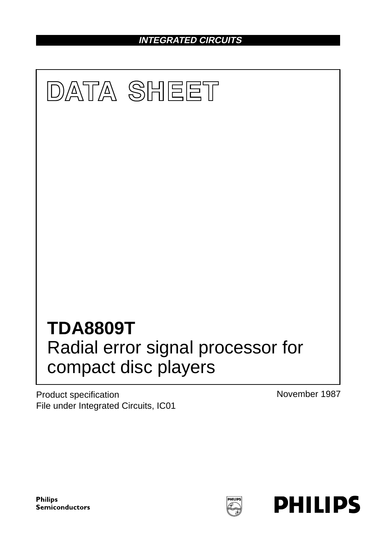**INTEGRATED CIRCUITS**



Product specification File under Integrated Circuits, IC01 November 1987

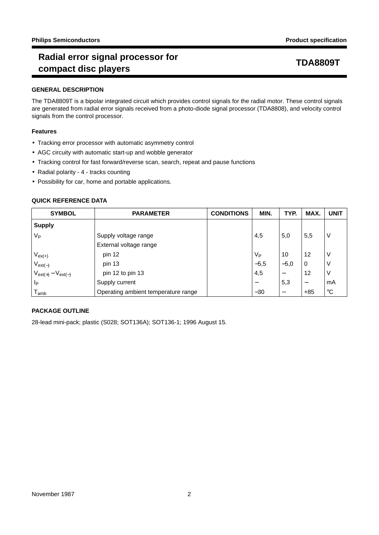# **Radial error signal processor for compact disc players TDA8809T**

## **GENERAL DESCRIPTION**

The TDA8809T is a bipolar integrated circuit which provides control signals for the radial motor. These control signals are generated from radial error signals received from a photo-diode signal processor (TDA8808), and velocity control signals from the control processor.

### **Features**

- Tracking error processor with automatic asymmetry control
- AGC circuity with automatic start-up and wobble generator
- Tracking control for fast forward/reverse scan, search, repeat and pause functions
- Radial polarity 4 tracks counting
- Possibility for car, home and portable applications.

### **QUICK REFERENCE DATA**

| <b>SYMBOL</b>             | <b>PARAMETER</b>                    | <b>CONDITIONS</b> | MIN.   | TYP.                     | MAX.  | <b>UNIT</b>     |
|---------------------------|-------------------------------------|-------------------|--------|--------------------------|-------|-----------------|
| <b>Supply</b>             |                                     |                   |        |                          |       |                 |
| $V_{\mathsf{P}}$          | Supply voltage range                |                   | 4,5    | 5,0                      | 5,5   | ν               |
|                           | External voltage range              |                   |        |                          |       |                 |
| $V_{ex(+)}$               | pin 12                              |                   | Vр     | 10                       | 12    | ν               |
| $V_{ext(-)}$              | pin 13                              |                   | $-5,5$ | $-5,0$                   | 0     | ν               |
| $V_{ext(+)} - V_{ext(-)}$ | pin 12 to pin 13                    |                   | 4,5    |                          | 12    | ν               |
| Ip                        | Supply current                      |                   |        | 5,3                      |       | mA              |
| <sup>l</sup> amb          | Operating ambient temperature range |                   | $-30$  | $\overline{\phantom{m}}$ | $+85$ | $\rm ^{\circ}C$ |

## **PACKAGE OUTLINE**

28-lead mini-pack; plastic (S028; SOT136A); SOT136-1; 1996 August 15.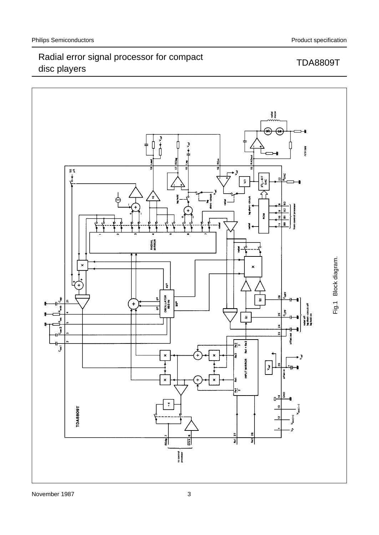

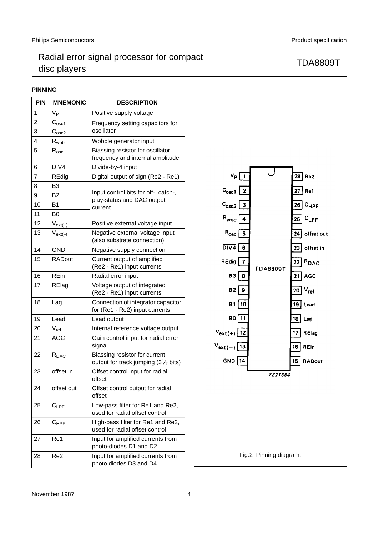## **PINNING**

| <b>PIN</b>     | <b>MNEMONIC</b>    | <b>DESCRIPTION</b>                                                      |
|----------------|--------------------|-------------------------------------------------------------------------|
| 1              | V <sub>P</sub>     | Positive supply voltage                                                 |
| 2              | $C_{\rm osc1}$     | Frequency setting capacitors for                                        |
| 3              | C <sub>osc2</sub>  | oscillator                                                              |
| 4              | $R_{wob}$          | Wobble generator input                                                  |
| 5              | $R_{osc}$          | Biassing resistor for oscillator<br>frequency and internal amplitude    |
| 6              | DIV <sub>4</sub>   | Divide-by-4 input                                                       |
| $\overline{7}$ | <b>REdig</b>       | Digital output of sign (Re2 - Re1)                                      |
| 8              | B <sub>3</sub>     |                                                                         |
| 9              | B <sub>2</sub>     | Input control bits for off-, catch-,                                    |
| 10             | <b>B1</b>          | play-status and DAC output<br>current                                   |
| 11             | B <sub>0</sub>     |                                                                         |
| 12             | $V_{ext(+)}$       | Positive external voltage input                                         |
| 13             | $V_{ext(-)}$       | Negative external voltage input<br>(also substrate connection)          |
| 14             | <b>GND</b>         | Negative supply connection                                              |
| 15             | <b>RADout</b>      | Current output of amplified<br>(Re2 - Re1) input currents               |
| 16             | <b>REin</b>        | Radial error input                                                      |
| 17             | RElag              | Voltage output of integrated<br>(Re2 - Re1) input currents              |
| 18             | Lag                | Connection of integrator capacitor<br>for (Re1 - Re2) input currents    |
| 19             | Lead               | Lead output                                                             |
| 20             | $V_{ref}$          | Internal reference voltage output                                       |
| 21             | <b>AGC</b>         | Gain control input for radial error<br>signal                           |
| 22             | R <sub>DAC</sub>   | Biassing resistor for current<br>output for track jumping $(31/2$ bits) |
| 23             | offset in          | Offset control input for radial<br>offset                               |
| 24             | offset out         | Offset control output for radial<br>offset                              |
| 25             | $C_{\mathsf{LPF}}$ | Low-pass filter for Re1 and Re2,<br>used for radial offset control      |
| 26             | $C_{HPF}$          | High-pass filter for Re1 and Re2,<br>used for radial offset control     |
| 27             | Re1                | Input for amplified currents from<br>photo-diodes D1 and D2             |
| 28             | Re <sub>2</sub>    | Input for amplified currents from<br>photo diodes D3 and D4             |

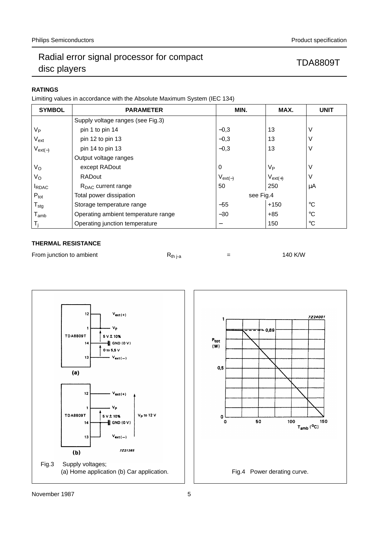## **RATINGS**

Limiting values in accordance with the Absolute Maximum System (IEC 134)

| <b>SYMBOL</b>               | <b>PARAMETER</b>                    | MIN.                     | MAX.             | <b>UNIT</b>     |
|-----------------------------|-------------------------------------|--------------------------|------------------|-----------------|
|                             | Supply voltage ranges (see Fig.3)   |                          |                  |                 |
| $V_{\mathsf{P}}$            | pin 1 to pin 14                     | $-0,3$                   | 13               | V               |
| $V_{ext}$                   | pin 12 to pin 13                    | $-0,3$                   | 13               | V               |
| $V_{ext(-)}$                | pin 14 to pin 13                    | $-0,3$                   | 13               | ٧               |
|                             | Output voltage ranges               |                          |                  |                 |
| $V_{\rm O}$                 | except RADout                       | 0                        | $V_{\mathsf{P}}$ | V               |
| $V_{\rm O}$                 | <b>RADout</b>                       | $V_{ext(-)}$             | $V_{ext(+)}$     | ٧               |
| <b>IRDAC</b>                | $R_{\text{DAC}}$ current range      | 50                       | 250              | μA              |
| $P_{\text{tot}}$            | Total power dissipation             | see Fig.4                |                  |                 |
| $\mathsf{T}_{\text{stg}}$   | Storage temperature range           | $-55$                    | $+150$           | $^{\circ}C$     |
| $\mathsf{T}_{\mathsf{amb}}$ | Operating ambient temperature range | $-30$                    | $+85$            | $^{\circ}C$     |
| T <sub>i</sub>              | Operating junction temperature      | $\overline{\phantom{0}}$ | 150              | $\rm ^{\circ}C$ |

### **THERMAL RESISTANCE**

| From junction to ambient | K <sub>th i-a</sub> |  | 140 K/W |
|--------------------------|---------------------|--|---------|
|--------------------------|---------------------|--|---------|



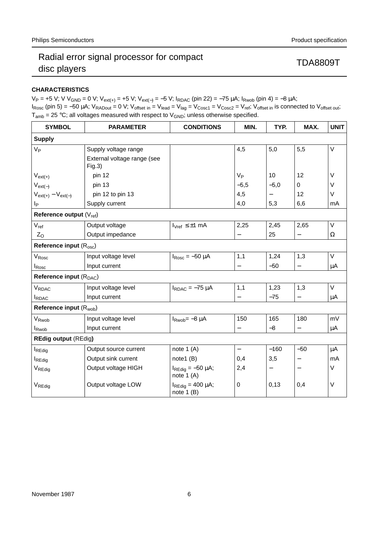## **CHARACTERISTICS**

 $V_P = +5 V$ ; V  $V_{GND} = 0 V$ ;  $V_{ext(+)} = +5 V$ ;  $V_{ext(-)} = -5 V$ ;  $I_{RDAC}$  (pin 22) = -75  $\mu$ A;  $I_{Rwob}$  (pin 4) = -8  $\mu$ A;

 $I_{\text{Rosc}}$  (pin 5) = -50 µA;  $V_{\text{RADout}}$  = 0 V;  $V_{\text{offset in}} = V_{\text{lead}} = V_{\text{lag}} = V_{\text{Cosc1}} = V_{\text{Cosc2}} = V_{\text{ref}}$ ;  $V_{\text{offset in}}$  is connected to  $V_{\text{offset out}}$ ;  $T_{amb}$  = 25 °C; all voltages measured with respect to  $V_{GND}$ ; unless otherwise specified.

| <b>SYMBOL</b>                       | <b>PARAMETER</b>                      | <b>CONDITIONS</b>                              | MIN.              | TYP.   | MAX.              | <b>UNIT</b> |  |  |  |  |
|-------------------------------------|---------------------------------------|------------------------------------------------|-------------------|--------|-------------------|-------------|--|--|--|--|
| <b>Supply</b>                       |                                       |                                                |                   |        |                   |             |  |  |  |  |
| $V_{P}$                             | Supply voltage range                  |                                                | 4,5               | 5,0    | 5,5               | V           |  |  |  |  |
|                                     | External voltage range (see<br>Fig.3) |                                                |                   |        |                   |             |  |  |  |  |
| $V_{ext(+)}$                        | pin 12                                |                                                | V <sub>P</sub>    | 10     | 12                | $\vee$      |  |  |  |  |
| $V_{ext(-)}$                        | pin 13                                |                                                | $-5,5$            | $-5,0$ | $\Omega$          | V           |  |  |  |  |
| $V_{ext(+)} - V_{ext(-)}$           | pin 12 to pin 13                      |                                                | 4,5               |        | 12                | V           |  |  |  |  |
| Ip                                  | Supply current                        |                                                | 4,0               | 5,3    | 6,6               | mA          |  |  |  |  |
| Reference output $(V_{ref})$        |                                       |                                                |                   |        |                   |             |  |  |  |  |
| $V_{\text{ref}}$                    | Output voltage                        | $I_{Vref} \leq \pm 1$ mA                       | 2,25              | 2,45   | 2,65              | V           |  |  |  |  |
| $ Z_{\rm O} $                       | Output impedance                      |                                                |                   | 25     |                   | Ω           |  |  |  |  |
| Reference input (R <sub>osc</sub> ) |                                       |                                                |                   |        |                   |             |  |  |  |  |
| $V_{\mathsf{Rosc}}$                 | Input voltage level                   | $I_{\text{Rosc}} = -50 \mu A$                  | 1,1               | 1,24   | 1,3               | V           |  |  |  |  |
| $I_{\text{Rosc}}$                   | Input current                         |                                                |                   | $-50$  | $\qquad \qquad -$ | μA          |  |  |  |  |
| Reference input (R <sub>DAC</sub> ) |                                       |                                                |                   |        |                   |             |  |  |  |  |
| VRDAC                               | Input voltage level                   | $I_{RDAC} = -75 \mu A$                         | 1,1               | 1,23   | 1,3               | V           |  |  |  |  |
| <b>I</b> RDAC                       | Input current                         |                                                |                   | $-75$  |                   | μA          |  |  |  |  |
| Reference input (R <sub>wob</sub> ) |                                       |                                                |                   |        |                   |             |  |  |  |  |
| V <sub>Rwob</sub>                   | Input voltage level                   | $I_{Rwob} = -8 \mu A$                          | 150               | 165    | 180               | mV          |  |  |  |  |
| <b>I</b> <sub>Rwob</sub>            | Input current                         |                                                | —                 | $-8$   |                   | μA          |  |  |  |  |
| <b>REdig output (REdig)</b>         |                                       |                                                |                   |        |                   |             |  |  |  |  |
| $I_{\text{REGig}}$                  | Output source current                 | note 1 (A)                                     | $\qquad \qquad -$ | $-160$ | $-50$             | μA          |  |  |  |  |
| <b>I</b> REdig                      | Output sink current                   | note1 (B)                                      | 0,4               | 3,5    |                   | mA          |  |  |  |  |
| V <sub>REGig</sub>                  | Output voltage HIGH                   | $I_{\text{REGig}} = -50 \mu A;$<br>note $1(A)$ | 2,4               | —      |                   | $\vee$      |  |  |  |  |
| V <sub>REdig</sub>                  | Output voltage LOW                    | $I_{\text{REGig}} = 400 \mu A;$<br>note $1(B)$ | 0                 | 0,13   | 0,4               | $\vee$      |  |  |  |  |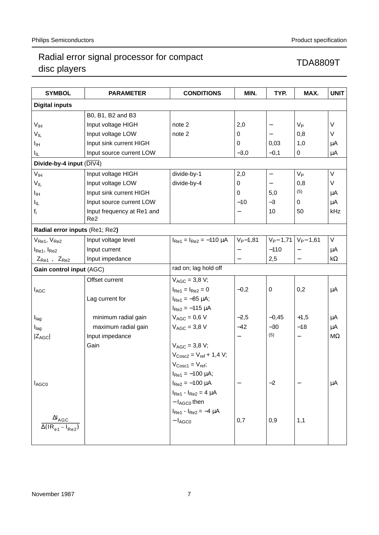| <b>SYMBOL</b>                         | <b>PARAMETER</b>                              | <b>CONDITIONS</b>                              | MIN.           | TYP.              | MAX.                     | <b>UNIT</b>        |  |
|---------------------------------------|-----------------------------------------------|------------------------------------------------|----------------|-------------------|--------------------------|--------------------|--|
| <b>Digital inputs</b>                 |                                               |                                                |                |                   |                          |                    |  |
|                                       | B0, B1, B2 and B3                             |                                                |                |                   |                          |                    |  |
| V <sub>IH</sub>                       | Input voltage HIGH                            | note 2                                         | 2,0            |                   | $V_{P}$                  | V                  |  |
| $V_{IL}$                              | Input voltage LOW                             | note 2                                         | 0              |                   | 0,8                      | V                  |  |
| Iн                                    | Input sink current HIGH                       |                                                | 0              | 0,03              | 1,0                      | μA                 |  |
| $I_{\parallel L}$                     | Input source current LOW                      |                                                | $-3,0$         | $-0,1$            | 0                        | μA                 |  |
| Divide-by-4 input $(\overline{DIV4})$ |                                               |                                                |                |                   |                          |                    |  |
| V <sub>IH</sub>                       | Input voltage HIGH                            | divide-by-1                                    | 2,0            | $\qquad \qquad -$ | $V_{\mathsf{P}}$         | $\vee$             |  |
| $V_{IL}$                              | Input voltage LOW                             | divide-by-4                                    | 0              | $\qquad \qquad -$ | 0,8                      | V                  |  |
| Iн                                    | Input sink current HIGH                       |                                                | $\mathbf 0$    | 5,0               | (5)                      | μA                 |  |
| I <sub>IL</sub>                       | Input source current LOW                      |                                                | $-10$          | $-3$              | 0                        | μA                 |  |
| $f_i$                                 | Input frequency at Re1 and<br>Re <sub>2</sub> |                                                |                | 10                | 50                       | kHz                |  |
| Radial error inputs (Re1; Re2)        |                                               |                                                |                |                   |                          |                    |  |
| $V_{Re1}$ , $V_{Re2}$                 | Input voltage level                           | $I_{\text{Re1}} = I_{\text{Re2}} = -110 \mu A$ | $V_{P} - 1,81$ | $V_{P} - 1,71$    | $V_{P} - 1,61$           | V                  |  |
| I <sub>Re1</sub> , I <sub>Re2</sub>   | Input current                                 |                                                |                | $-110$            |                          | μA                 |  |
| $ Z_{Re1} ,  Z_{Re2} $                | Input impedance                               |                                                |                | 2,5               | $\overline{\phantom{0}}$ | $k\Omega$          |  |
| Gain control input (AGC)              |                                               | rad on; lag hold off                           |                |                   |                          |                    |  |
|                                       | Offset current                                | $V_{AGC} = 3.8 V;$                             |                |                   |                          |                    |  |
| $I_{AGC}$                             |                                               | $I_{Re1} = I_{Re2} = 0$                        | $-0,2$         | 0                 | 0,2                      | μA                 |  |
|                                       | Lag current for                               | $I_{\text{Re1}} = -85 \mu A;$                  |                |                   |                          |                    |  |
|                                       |                                               | $I_{Re2} = -115 \mu A$                         |                |                   |                          |                    |  |
| I <sub>lag</sub>                      | minimum radial gain                           | $V_{AGC} = 0.6 V$                              | $-2,5$         | $-0,45$           | $+1,5$                   | μA                 |  |
| I <sub>lag</sub>                      | maximum radial gain                           | $V_{AGC} = 3.8 V$                              | $-42$          | $-30$             | $-18$                    | μA                 |  |
| $ Z_{AGC} $                           | Input impedance                               |                                                |                | (5)               | $\qquad \qquad -$        | $\mathsf{M}\Omega$ |  |
|                                       | Gain                                          | $V_{AGC} = 3.8 V;$                             |                |                   |                          |                    |  |
|                                       |                                               | $V_{\text{Cosc2}} = V_{\text{ref}} + 1.4 V;$   |                |                   |                          |                    |  |
|                                       |                                               | $V_{\text{Cosc1}} = V_{\text{ref}}$            |                |                   |                          |                    |  |
|                                       |                                               | $I_{\text{Re1}} = -100 \mu A;$                 |                |                   |                          |                    |  |
| <b>I</b> AGC0                         |                                               | $I_{Re2} = -100 \mu A$                         |                | $-2$              |                          | μA                 |  |
|                                       |                                               | $I_{Re1} - I_{Re2} = 4 \mu A$                  |                |                   |                          |                    |  |
|                                       |                                               | $- I_{AGCO}$ then                              |                |                   |                          |                    |  |
|                                       |                                               | $I_{Re1} - I_{Re2} = -4 \mu A$                 |                |                   |                          |                    |  |
| $\Delta I_{\text{AGC}}$               |                                               | $- I_{AGCO}$                                   | 0,7            | 0,9               | 1,1                      |                    |  |
|                                       |                                               |                                                |                |                   |                          |                    |  |
|                                       |                                               |                                                |                |                   |                          |                    |  |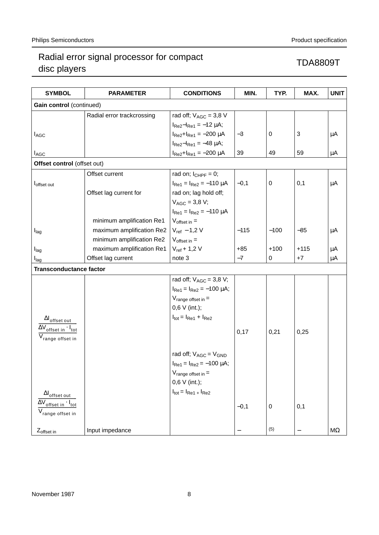| <b>SYMBOL</b>                                      | <b>PARAMETER</b>           | <b>CONDITIONS</b>                                                    | MIN.    | TYP.             | MAX.   | <b>UNIT</b> |  |  |  |
|----------------------------------------------------|----------------------------|----------------------------------------------------------------------|---------|------------------|--------|-------------|--|--|--|
|                                                    | Gain control (continued)   |                                                                      |         |                  |        |             |  |  |  |
|                                                    | Radial error trackcrossing | rad off; $V_{AGC} = 3.8$ V                                           |         |                  |        |             |  |  |  |
|                                                    |                            | $I_{Re2} - I_{Re1} = -12 \mu A$ ;                                    |         |                  |        |             |  |  |  |
| $I_{AGC}$                                          |                            | $I_{Re2} + I_{Re1} = -200 \mu A$                                     | $-3$    | 0                | 3      | μA          |  |  |  |
|                                                    |                            |                                                                      |         |                  |        |             |  |  |  |
| $I_{AGC}$                                          |                            | $I_{Re2} - I_{Re1} = -48 \mu A;$<br>$I_{Re2} + I_{Re1} = -200 \mu A$ | 39      | 49               | 59     | μA          |  |  |  |
| Offset control (offset out)                        |                            |                                                                      |         |                  |        |             |  |  |  |
|                                                    | Offset current             | rad on; $l_{CHPF} = 0$ ;                                             |         |                  |        |             |  |  |  |
| I <sub>offset out</sub>                            |                            | $I_{\text{Re}1} = I_{\text{Re}2} = -110 \mu A$                       | $ -0,1$ | $\mathbf 0$      | 0,1    | μA          |  |  |  |
|                                                    | Offset lag current for     | rad on; lag hold off;                                                |         |                  |        |             |  |  |  |
|                                                    |                            | $V_{AGC} = 3.8 V;$                                                   |         |                  |        |             |  |  |  |
|                                                    |                            | $I_{Re1} = I_{Re2} = -110 \mu A$                                     |         |                  |        |             |  |  |  |
|                                                    | minimum amplification Re1  | $V_{offset in} =$                                                    |         |                  |        |             |  |  |  |
| $I_{lag}$                                          | maximum amplification Re2  | $V_{ref}$ – 1,2 V                                                    | $-115$  | $-100$           | $-85$  | μA          |  |  |  |
|                                                    | minimum amplification Re2  | $V_{offset in} =$                                                    |         |                  |        |             |  |  |  |
| I <sub>lag</sub>                                   | maximum amplification Re1  | $V_{ref} + 1,2 V$                                                    | $+85$   | $+100$           | $+115$ | μA          |  |  |  |
| $I_{lag}$                                          | Offset lag current         | note 3                                                               | $-7$    | 0                | $+7$   | μA          |  |  |  |
| <b>Transconductance factor</b>                     |                            |                                                                      |         |                  |        |             |  |  |  |
|                                                    |                            |                                                                      |         |                  |        |             |  |  |  |
|                                                    |                            | rad off; $V_{AGC} = 3.8 V$ ;                                         |         |                  |        |             |  |  |  |
|                                                    |                            | $I_{\text{Re1}} = I_{\text{Re2}} = -100 \mu A;$                      |         |                  |        |             |  |  |  |
|                                                    |                            | $V_{range}$ offset in $=$                                            |         |                  |        |             |  |  |  |
|                                                    |                            | $0,6 \vee (int.);$                                                   |         |                  |        |             |  |  |  |
| $\Delta I$ <sub>offset out</sub>                   |                            | $I_{\text{tot}} = I_{\text{Re1}} + I_{\text{Re2}}$                   |         |                  |        |             |  |  |  |
| $\Delta V$ <sub>offset in</sub> · I <sub>tot</sub> |                            |                                                                      | 0,17    | 0,21             | 0,25   |             |  |  |  |
| $\rm V_{range}$ offset in                          |                            |                                                                      |         |                  |        |             |  |  |  |
|                                                    |                            | rad off; $V_{AGC} = V_{GND}$                                         |         |                  |        |             |  |  |  |
|                                                    |                            | $I_{\text{Re1}} = I_{\text{Re2}} = -100 \mu \text{A};$               |         |                  |        |             |  |  |  |
|                                                    |                            |                                                                      |         |                  |        |             |  |  |  |
|                                                    |                            | V <sub>range offset in</sub> =<br>0,6 V (int.);                      |         |                  |        |             |  |  |  |
|                                                    |                            | $I_{\text{tot}} = I_{\text{Re1}} + I_{\text{Re2}}$                   |         |                  |        |             |  |  |  |
| $\Delta I_{offset}$ out                            |                            |                                                                      |         |                  |        |             |  |  |  |
| $\Delta V_{\text{offset in}} \cdot I_{\text{tot}}$ |                            |                                                                      | $-0,1$  | $\boldsymbol{0}$ | 0,1    |             |  |  |  |
| $V_{range\;offset\;in}$                            |                            |                                                                      |         |                  |        |             |  |  |  |
| $ Z_{\text{offset in}} $                           | Input impedance            |                                                                      |         | (5)              |        | $M\Omega$   |  |  |  |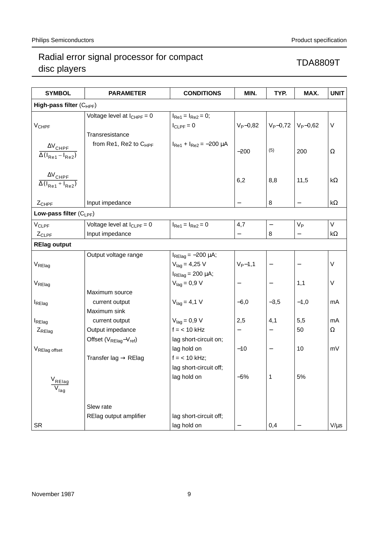| <b>SYMBOL</b>                                                                    | <b>PARAMETER</b>                                               | <b>CONDITIONS</b>                                        | MIN.           | TYP.                     | MAX.             | <b>UNIT</b> |  |  |  |  |
|----------------------------------------------------------------------------------|----------------------------------------------------------------|----------------------------------------------------------|----------------|--------------------------|------------------|-------------|--|--|--|--|
| High-pass filter (C <sub>HPF</sub> )                                             |                                                                |                                                          |                |                          |                  |             |  |  |  |  |
| <b>V<sub>CHPF</sub></b>                                                          | Voltage level at $I_{CHPF} = 0$                                | $I_{Re1} = I_{Re2} = 0;$<br>$I_{CLPF} = 0$               | $V_P - 0,82$   | $V_P - 0,72$             | $V_P - 0,62$     | $\vee$      |  |  |  |  |
| $\Delta V$ <sub>CHPF</sub><br>$\overline{\Delta(I_{\text{Re1}}-I_{\text{Re2}})}$ | Transresistance<br>from Re1, Re2 to C <sub>HPF</sub>           | $I_{\text{Re1}} + I_{\text{Re2}} = -200 \mu A$           | $-200$         | (5)                      | 200              | $\Omega$    |  |  |  |  |
| $\frac{\Delta \rm V_{CHPF}}{\Delta (l_{Re1}+l_{Re2})}$                           |                                                                |                                                          | 6,2            | 8,8                      | 11,5             | k $\Omega$  |  |  |  |  |
| $ Z_{CHPF} $                                                                     | Input impedance                                                |                                                          |                | 8                        |                  | k $\Omega$  |  |  |  |  |
| Low-pass filter $(C_{LPF})$                                                      |                                                                |                                                          |                |                          |                  |             |  |  |  |  |
| VCLPF                                                                            | Voltage level at $I_{CLPF} = 0$                                | $I_{Re1} = I_{Re2} = 0$                                  | 4,7            | $\overline{\phantom{0}}$ | $V_{\mathsf{P}}$ | $\vee$      |  |  |  |  |
| $ Z_{CLPF} $                                                                     | Input impedance                                                |                                                          |                | 8                        |                  | k $\Omega$  |  |  |  |  |
| <b>RElag output</b>                                                              |                                                                |                                                          |                |                          |                  |             |  |  |  |  |
|                                                                                  | Output voltage range                                           | $I_{\text{RElag}} = -200 \mu A$ ;                        |                |                          |                  |             |  |  |  |  |
| V <sub>RElag</sub>                                                               |                                                                | $V_{\text{laq}} = 4,25 \text{ V}$                        | $V_{P} - 1, 1$ |                          |                  | $\vee$      |  |  |  |  |
| V <sub>RElag</sub>                                                               |                                                                | $I_{\text{RElag}}$ = 200 µA;<br>$V_{\text{laq}} = 0.9 V$ |                | $\qquad \qquad -$        | 1,1              | $\vee$      |  |  |  |  |
| <b>I</b> RElag                                                                   | Maximum source<br>current output<br>Maximum sink               | $Vlaq = 4.1 V$                                           | $-6,0$         | $-3,5$                   | $-1,0$           | mA          |  |  |  |  |
| <b>I</b> RElag                                                                   | current output                                                 | $V_{lag} = 0.9 V$                                        | 2,5            | 4,1                      | 5,5              | mA          |  |  |  |  |
| $ Z_{RElag} $                                                                    | Output impedance<br>Offset $(V_{\text{RElag}}-V_{\text{ref}})$ | $f = < 10$ kHz<br>lag short-circuit on;                  |                | $\qquad \qquad -$        | 50               | Ω           |  |  |  |  |
| VRElag offset                                                                    | Transfer lag $\rightarrow$ RElag                               | lag hold on<br>$f = < 10$ kHz;<br>lag short-circuit off; | $-10$          | $\qquad \qquad -$        | 10               | mV          |  |  |  |  |
| V <sub>RElag</sub><br>$\overline{\mathsf{V}}_{\mathsf{lag}}$                     |                                                                | lag hold on                                              | $-5%$          | 1                        | 5%               |             |  |  |  |  |
|                                                                                  | Slew rate                                                      |                                                          |                |                          |                  |             |  |  |  |  |
|                                                                                  | RElag output amplifier                                         | lag short-circuit off;                                   |                |                          |                  |             |  |  |  |  |
| <b>SR</b>                                                                        |                                                                | lag hold on                                              |                | 0,4                      |                  | $V/\mu s$   |  |  |  |  |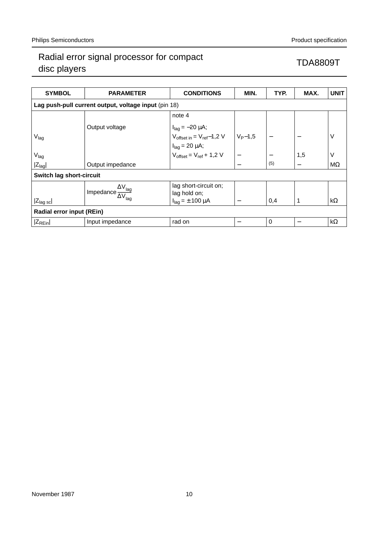| <b>SYMBOL</b>                                        | <b>PARAMETER</b>                        | <b>CONDITIONS</b>                                                                   | MIN.          | TYP.            | MAX.            | <b>UNIT</b> |  |  |  |  |
|------------------------------------------------------|-----------------------------------------|-------------------------------------------------------------------------------------|---------------|-----------------|-----------------|-------------|--|--|--|--|
| Lag push-pull current output, voltage input (pin 18) |                                         |                                                                                     |               |                 |                 |             |  |  |  |  |
|                                                      |                                         | note 4                                                                              |               |                 |                 |             |  |  |  |  |
|                                                      | Output voltage                          |                                                                                     |               |                 |                 |             |  |  |  |  |
| $V_{lag}$                                            |                                         | $\begin{cases} I_{lag} = -20 \mu A; \\ V_{offset in} = V_{ref} - 1.2 V \end{cases}$ | $ V_{P}$ -1,5 |                 |                 |             |  |  |  |  |
|                                                      |                                         | $I_{lag} = 20 \mu A;$<br>$V_{offset} = V_{ref} + 1,2 V$                             |               |                 |                 |             |  |  |  |  |
| $V_{\text{lag}}$                                     |                                         |                                                                                     |               | $\qquad \qquad$ | 1,5             | V           |  |  |  |  |
| $ Z_{lag} $                                          | Output impedance                        |                                                                                     |               | (5)             |                 | $M\Omega$   |  |  |  |  |
| Switch lag short-circuit                             |                                         |                                                                                     |               |                 |                 |             |  |  |  |  |
|                                                      | $\frac{\Delta V_{lag}}{\Delta V_{lag}}$ | lag short-circuit on;                                                               |               |                 |                 |             |  |  |  |  |
|                                                      |                                         | lag hold on;                                                                        |               |                 |                 |             |  |  |  |  |
| $ Z_{\text{lag}} $                                   |                                         | $I_{\text{lag}} = \pm 100 \mu A$                                                    |               | 0,4             | 1               | $k\Omega$   |  |  |  |  |
| <b>Radial error input (REin)</b>                     |                                         |                                                                                     |               |                 |                 |             |  |  |  |  |
| $ Z_{\text{REin}} $                                  | Input impedance                         | rad on                                                                              |               | 0               | $\qquad \qquad$ | $k\Omega$   |  |  |  |  |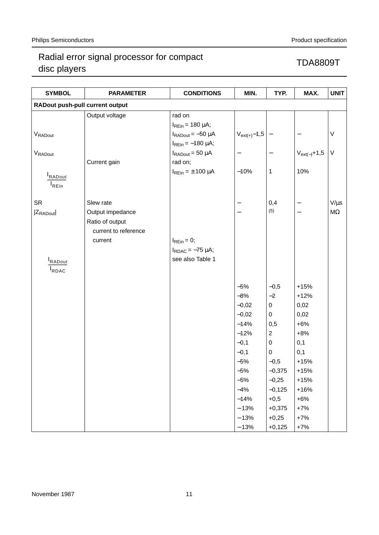| <b>SYMBOL</b>                   | <b>PARAMETER</b>     | <b>CONDITIONS</b>                 | MIN.                     | TYP.              | MAX.             | <b>UNIT</b> |
|---------------------------------|----------------------|-----------------------------------|--------------------------|-------------------|------------------|-------------|
| RADout push-pull current output |                      |                                   |                          |                   |                  |             |
|                                 | Output voltage       | rad on                            |                          |                   |                  |             |
|                                 |                      | $I_{REin}$ = 180 $\mu$ A;         |                          |                   |                  |             |
| VRADout                         |                      | $I_{\text{RADout}} = -50 \mu A$   | $V_{ext(+)}-1,5$         |                   |                  | $\sf V$     |
|                                 |                      | $I_{REin} = -180 \mu A;$          |                          |                   |                  |             |
| V <sub>RADout</sub>             |                      | $I_{\text{RADout}} = 50 \mu A$    | $\overline{\phantom{0}}$ | $\qquad \qquad -$ | $V_{ext(-)}+1,5$ | $\sf V$     |
|                                 | Current gain         | rad on;                           |                          |                   |                  |             |
| RADout                          |                      | $I_{\text{REin}} = \pm 100 \mu A$ | $-10%$                   | $\mathbf{1}$      | 10%              |             |
| <sup>I</sup> REin               |                      |                                   |                          |                   |                  |             |
|                                 |                      |                                   |                          |                   |                  |             |
| <b>SR</b>                       | Slew rate            |                                   |                          | 0,4               | —                | $V/\mu s$   |
| $ Z_{\text{RADout}} $           | Output impedance     |                                   |                          | (5)               |                  | $M\Omega$   |
|                                 | Ratio of output      |                                   |                          |                   |                  |             |
|                                 | current to reference |                                   |                          |                   |                  |             |
|                                 | current              | $I_{\text{REin}} = 0$ ;           |                          |                   |                  |             |
|                                 |                      | $I_{RDAC} = -75 \mu A;$           |                          |                   |                  |             |
| RADout                          |                      | see also Table 1                  |                          |                   |                  |             |
| RDAC                            |                      |                                   |                          |                   |                  |             |
|                                 |                      |                                   |                          |                   |                  |             |
|                                 |                      |                                   | $-5%$                    | $-0,5$            | $+15%$           |             |
|                                 |                      |                                   | $-8%$                    | $-2$              | $+12%$           |             |
|                                 |                      |                                   | $-0,02$                  | $\overline{0}$    | 0,02             |             |
|                                 |                      |                                   | $-0,02$                  | $\overline{0}$    | 0,02             |             |
|                                 |                      |                                   | $-14%$                   | 0,5               | $+6%$            |             |
|                                 |                      |                                   | $-12%$                   | $\overline{2}$    | $+8%$            |             |
|                                 |                      |                                   | $-0,1$                   | $\mathbf 0$       | 0,1              |             |
|                                 |                      |                                   | $-0,1$                   | 0                 | 0,1              |             |
|                                 |                      |                                   | $-5%$                    | $-0,5$            | $+15%$           |             |
|                                 |                      |                                   | $-5%$                    | $-0,375$          | $+15%$           |             |
|                                 |                      |                                   | $-5%$                    | $-0,25$           | $+15%$           |             |
|                                 |                      |                                   | $-4%$                    | $-0,125$          | $+16%$           |             |
|                                 |                      |                                   | $-14%$                   | $+0,5$            | $+6%$            |             |
|                                 |                      |                                   | $-13%$                   | $+0,375$          | $+7%$            |             |
|                                 |                      |                                   | $-13%$                   | $+0,25$           | $+7%$            |             |
|                                 |                      |                                   | $-13%$                   | $+0,125$          | $+7%$            |             |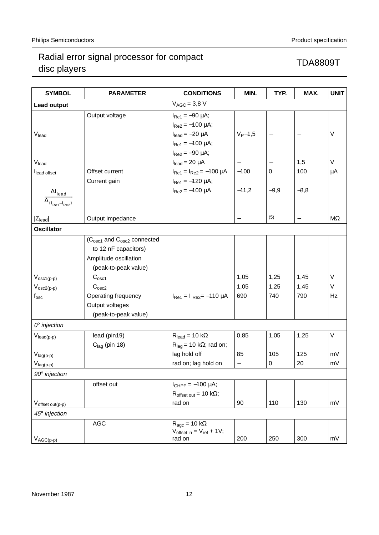| <b>SYMBOL</b>                                                                             | <b>PARAMETER</b>                                                           | <b>CONDITIONS</b>                                                                   | MIN.                     | TYP.              | MAX.   | <b>UNIT</b> |
|-------------------------------------------------------------------------------------------|----------------------------------------------------------------------------|-------------------------------------------------------------------------------------|--------------------------|-------------------|--------|-------------|
| <b>Lead output</b>                                                                        |                                                                            | $V_{AGC} = 3.8 V$                                                                   |                          |                   |        |             |
|                                                                                           | Output voltage                                                             | $I_{\text{Re1}} = -90 \mu A$ ;<br>$I_{Re2} = -100 \mu A;$                           |                          |                   |        | $\vee$      |
| V <sub>lead</sub>                                                                         |                                                                            | $I_{lead} = -20 \mu A$<br>$I_{\text{Re1}} = -100 \mu A$ ;<br>$I_{Re2} = -90 \mu A;$ | $V_{P} - 1,5$            | $\qquad \qquad -$ |        |             |
| Vlead                                                                                     |                                                                            | $I_{lead} = 20 \mu A$                                                               |                          |                   | 1,5    | $\vee$      |
| lead offset                                                                               | Offset current<br>Current gain                                             | $I_{\text{Re1}} = I_{\text{Re2}} = -100 \mu A$<br>$I_{\text{Re1}} = -120 \mu A$ ;   | $-100$                   | 0                 | 100    | $\mu$ A     |
| $\Delta I_{\text{lead}}$                                                                  |                                                                            | $I_{Re2} = -100 \mu A$                                                              | $-11,2$                  | $-9,9$            | $-8,8$ |             |
| $\overline{\Delta_{(\mathsf{I}_\mathsf{Re1} - \mathsf{I}_\mathsf{Re2})}}$<br>$ Z_{lead} $ | Output impedance                                                           |                                                                                     |                          | (5)               |        | ΜΩ          |
| <b>Oscillator</b>                                                                         |                                                                            |                                                                                     |                          |                   |        |             |
|                                                                                           | $(C_{\text{osc1}}$ and $C_{\text{osc2}}$ connected<br>to 12 nF capacitors) |                                                                                     |                          |                   |        |             |
|                                                                                           | Amplitude oscillation                                                      |                                                                                     |                          |                   |        |             |
|                                                                                           | (peak-to-peak value)                                                       |                                                                                     |                          |                   |        |             |
| $V_{\text{osc1}(p-p)}$                                                                    | C <sub>osc1</sub>                                                          |                                                                                     | 1,05                     | 1,25              | 1,45   | $\vee$      |
| $V_{osc2(p-p)}$                                                                           | C <sub>osc2</sub>                                                          |                                                                                     | 1,05                     | 1,25              | 1,45   | V           |
| $\mathsf{f}_{\mathsf{osc}}$                                                               | Operating frequency<br>Output voltages                                     | $I_{\text{Re1}} = I_{\text{Re2}} = -110 \mu A$                                      | 690                      | 740               | 790    | Hz          |
|                                                                                           | (peak-to-peak value)                                                       |                                                                                     |                          |                   |        |             |
| $Oo$ injection                                                                            |                                                                            |                                                                                     |                          |                   |        |             |
| $V_{\text{lead}(p-p)}$                                                                    | lead (pin19)                                                               | $R_{lead} = 10 k\Omega$                                                             | 0,85                     | 1,05              | 1,25   | V           |
|                                                                                           | $Clag$ (pin 18)                                                            | $R_{lag}$ = 10 k $\Omega$ ; rad on;                                                 |                          |                   |        |             |
| $V_{lag(p-p)}$                                                                            |                                                                            | lag hold off                                                                        | 85                       | 105               | 125    | mV          |
| $V_{lag(p-p)}$                                                                            |                                                                            | rad on; lag hold on                                                                 | $\overline{\phantom{0}}$ | 0                 | 20     | mV          |
| $90^\circ$ injection                                                                      |                                                                            |                                                                                     |                          |                   |        |             |
|                                                                                           | offset out                                                                 | $I_{CHPF} = -100 \mu A;$                                                            |                          |                   |        |             |
|                                                                                           |                                                                            | $R_{offset\ out} = 10 k\Omega;$                                                     |                          |                   |        |             |
| $V_{offset\ out(p-p)}$                                                                    |                                                                            | rad on                                                                              | 90                       | 110               | 130    | mV          |
| 45° injection                                                                             |                                                                            |                                                                                     |                          |                   |        |             |
| $V_{AGC(p-p)}$                                                                            | AGC                                                                        | $R_{\text{age}} = 10 \text{ k}\Omega$<br>$V_{offset in} = V_{ref} + 1V;$<br>rad on  | 200                      | 250               | 300    | mV          |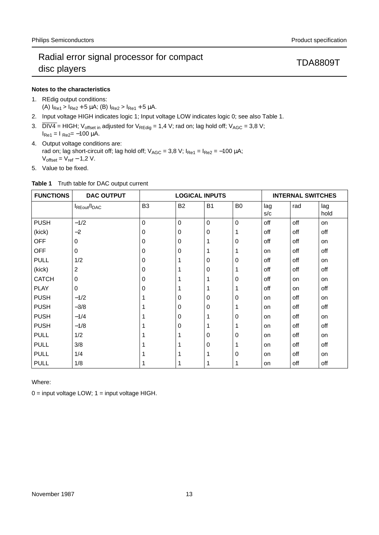## **Notes to the characteristics**

- 1. REdig output conditions: (A)  $I_{Re1}$  >  $I_{Re2}$  + 5  $\mu$ A; (B)  $I_{Re2}$  >  $I_{Re1}$  + 5  $\mu$ A.
- 2. Input voltage HIGH indicates logic 1; Input voltage LOW indicates logic 0; see also Table 1.
- 3.  $\overline{DIV4}$  = HIGH; V<sub>offset in</sub> adjusted for V<sub>REdig</sub> = 1,4 V; rad on; lag hold off; V<sub>AGC</sub> = 3,8 V;  $I_{Re1} = I_{Re2} = -100 \mu A$ .
- 4. Output voltage conditions are: rad on; lag short-circuit off; lag hold off;  $V_{AGC} = 3.8$  V;  $I_{Re1} = I_{Re2} = -100 \mu A$ ;  $V_{offset} = V_{ref} - 1.2 V$ .
- 5. Value to be fixed.

|  |  | Table 1 Truth table for DAC output current |  |
|--|--|--------------------------------------------|--|
|  |  |                                            |  |

| <b>FUNCTIONS</b> | <b>DAC OUTPUT</b>  | <b>LOGICAL INPUTS</b> |             |             |                | <b>INTERNAL SWITCHES</b> |           |             |
|------------------|--------------------|-----------------------|-------------|-------------|----------------|--------------------------|-----------|-------------|
|                  | <b>IREout/IDAC</b> | B <sub>3</sub>        | <b>B2</b>   | <b>B1</b>   | B <sub>0</sub> | lag<br>s/c               | rad       | lag<br>hold |
| <b>PUSH</b>      | $-1/2$             | $\mathbf 0$           | $\mathbf 0$ | $\mathbf 0$ | $\overline{0}$ | off                      | off       | on          |
| (kick)           | $-2$               | 0                     | $\mathbf 0$ | $\mathbf 0$ |                | off                      | off       | off         |
| <b>OFF</b>       | $\Omega$           | 0                     | $\Omega$    | 1           | $\mathbf 0$    | off                      | off       | on          |
| <b>OFF</b>       | 0                  | 0                     | $\mathbf 0$ |             |                | on                       | off       | off         |
| <b>PULL</b>      | 1/2                | 0                     | 1           | $\mathbf 0$ | $\mathbf 0$    | off                      | off       | on          |
| (kick)           | $\boldsymbol{2}$   | 0                     |             | $\mathbf 0$ |                | off                      | off       | off         |
| <b>CATCH</b>     | 0                  | 0                     |             | 1           | $\mathbf 0$    | off                      | on        | on          |
| <b>PLAY</b>      | $\mathbf 0$        | 0                     |             |             |                | off                      | <b>on</b> | off         |
| <b>PUSH</b>      | $-1/2$             |                       | $\mathbf 0$ | $\mathbf 0$ | $\mathbf 0$    | on                       | off       | on          |
| <b>PUSH</b>      | $-3/8$             |                       | $\mathbf 0$ | $\mathbf 0$ |                | on                       | off       | off         |
| <b>PUSH</b>      | $-1/4$             |                       | $\Omega$    |             | $\mathbf 0$    | on                       | off       | on          |
| <b>PUSH</b>      | $-1/8$             |                       | $\mathbf 0$ |             |                | on                       | off       | off         |
| <b>PULL</b>      | 1/2                |                       |             | $\mathbf 0$ | $\mathbf 0$    | on                       | off       | on          |
| <b>PULL</b>      | 3/8                |                       |             | $\mathbf 0$ |                | on                       | off       | off         |
| <b>PULL</b>      | 1/4                |                       |             |             | $\mathbf 0$    | on                       | off       | on          |
| <b>PULL</b>      | 1/8                |                       | 1           | 1           | 1              | on                       | off       | off         |

Where:

 $0 =$  input voltage LOW;  $1 =$  input voltage HIGH.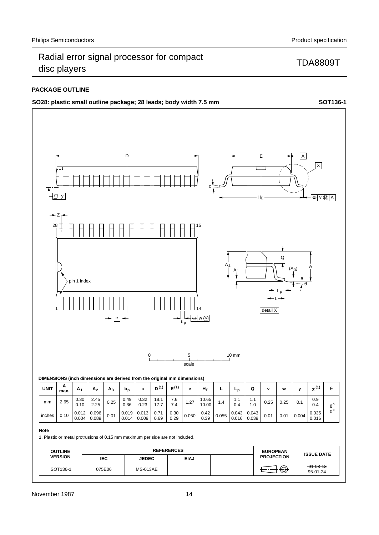## **PACKAGE OUTLINE**



95-01-24

SOT136-1  $075E06$  MS-013AE  $\overline{)}$  MS-013AE  $\overline{)}$   $\overline{)}$   $\overline{)}$   $\overline{)}$   $\overline{)}$   $\overline{91}$   $\overline{93}$   $\overline{94}$ 

 **IEC JEDEC EIAJ**

075E06 MS-013AE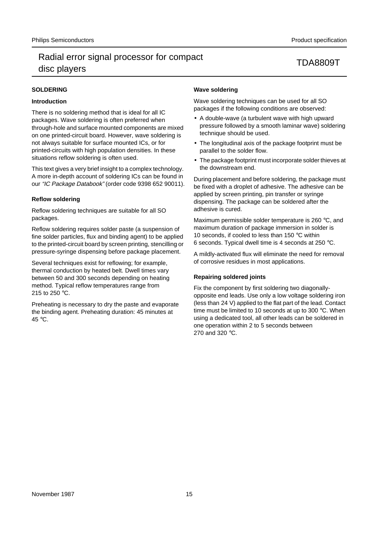## **SOLDERING**

### **Introduction**

There is no soldering method that is ideal for all IC packages. Wave soldering is often preferred when through-hole and surface mounted components are mixed on one printed-circuit board. However, wave soldering is not always suitable for surface mounted ICs, or for printed-circuits with high population densities. In these situations reflow soldering is often used.

This text gives a very brief insight to a complex technology. A more in-depth account of soldering ICs can be found in our "IC Package Databook" (order code 9398 652 90011).

### **Reflow soldering**

Reflow soldering techniques are suitable for all SO packages.

Reflow soldering requires solder paste (a suspension of fine solder particles, flux and binding agent) to be applied to the printed-circuit board by screen printing, stencilling or pressure-syringe dispensing before package placement.

Several techniques exist for reflowing; for example, thermal conduction by heated belt. Dwell times vary between 50 and 300 seconds depending on heating method. Typical reflow temperatures range from 215 to 250 °C.

Preheating is necessary to dry the paste and evaporate the binding agent. Preheating duration: 45 minutes at 45 °C.

## **Wave soldering**

Wave soldering techniques can be used for all SO packages if the following conditions are observed:

- A double-wave (a turbulent wave with high upward pressure followed by a smooth laminar wave) soldering technique should be used.
- The longitudinal axis of the package footprint must be parallel to the solder flow.
- The package footprint must incorporate solder thieves at the downstream end.

During placement and before soldering, the package must be fixed with a droplet of adhesive. The adhesive can be applied by screen printing, pin transfer or syringe dispensing. The package can be soldered after the adhesive is cured.

Maximum permissible solder temperature is 260 °C, and maximum duration of package immersion in solder is 10 seconds, if cooled to less than 150 °C within 6 seconds. Typical dwell time is 4 seconds at 250 °C.

A mildly-activated flux will eliminate the need for removal of corrosive residues in most applications.

### **Repairing soldered joints**

Fix the component by first soldering two diagonallyopposite end leads. Use only a low voltage soldering iron (less than 24 V) applied to the flat part of the lead. Contact time must be limited to 10 seconds at up to 300 °C. When using a dedicated tool, all other leads can be soldered in one operation within 2 to 5 seconds between 270 and 320 °C.